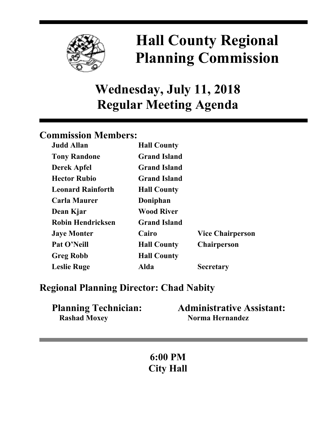

# **Hall County Regional Planning Commission**

## **Wednesday, July 11, 2018 Regular Meeting Agenda**

## **Commission Members:**

| <b>Judd Allan</b>        | <b>Hall County</b>  |                         |
|--------------------------|---------------------|-------------------------|
| <b>Tony Randone</b>      | <b>Grand Island</b> |                         |
| <b>Derek Apfel</b>       | <b>Grand Island</b> |                         |
| <b>Hector Rubio</b>      | <b>Grand Island</b> |                         |
| <b>Leonard Rainforth</b> | <b>Hall County</b>  |                         |
| <b>Carla Maurer</b>      | Doniphan            |                         |
| Dean Kjar                | <b>Wood River</b>   |                         |
| <b>Robin Hendricksen</b> | <b>Grand Island</b> |                         |
| <b>Jaye Monter</b>       | Cairo               | <b>Vice Chairperson</b> |
| Pat O'Neill              | <b>Hall County</b>  | <b>Chairperson</b>      |
| <b>Greg Robb</b>         | <b>Hall County</b>  |                         |
| <b>Leslie Ruge</b>       | Alda                | <b>Secretary</b>        |

## **Regional Planning Director: Chad Nabity**

| <b>Planning Technician:</b> | <b>Administrative Assistant:</b> |
|-----------------------------|----------------------------------|
| <b>Rashad Moxey</b>         | Norma Hernandez                  |

**6:00 PM City Hall**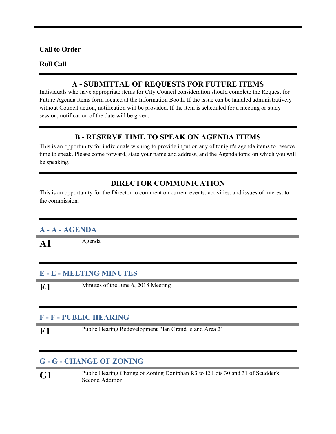#### **Call to Order**

#### **Roll Call**

#### **A - SUBMITTAL OF REQUESTS FOR FUTURE ITEMS**

Individuals who have appropriate items for City Council consideration should complete the Request for Future Agenda Items form located at the Information Booth. If the issue can be handled administratively without Council action, notification will be provided. If the item is scheduled for a meeting or study session, notification of the date will be given.

#### **B - RESERVE TIME TO SPEAK ON AGENDA ITEMS**

This is an opportunity for individuals wishing to provide input on any of tonight's agenda items to reserve time to speak. Please come forward, state your name and address, and the Agenda topic on which you will be speaking.

#### **DIRECTOR COMMUNICATION**

This is an opportunity for the Director to comment on current events, activities, and issues of interest to the commission.

#### **A - A - AGENDA**

A1 Agenda

#### **E - E - MEETING MINUTES**

**E1** Minutes of the June 6, 2018 Meeting

#### **F - F - PUBLIC HEARING**

**F1** Public Hearing Redevelopment Plan Grand Island Area <sup>21</sup>

#### **G - G - CHANGE OF ZONING**

**G1** Public Hearing Change of Zoning Doniphan R3 to I2 Lots <sup>30</sup> and <sup>31</sup> of Scudder's Second Addition